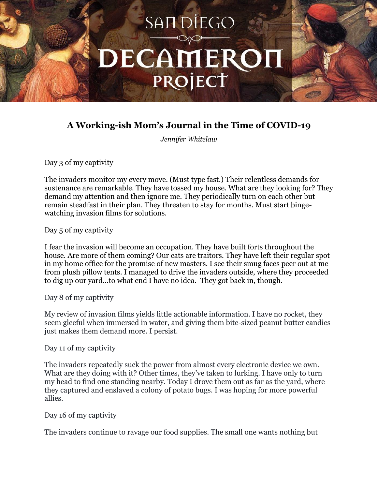

# **A Working-ish Mom's Journal in the Time of COVID-19**

*Jennifer Whitelaw*

Day 3 of my captivity

The invaders monitor my every move. (Must type fast.) Their relentless demands for sustenance are remarkable. They have tossed my house. What are they looking for? They demand my attention and then ignore me. They periodically turn on each other but remain steadfast in their plan. They threaten to stay for months. Must start bingewatching invasion films for solutions.

Day 5 of my captivity

I fear the invasion will become an occupation. They have built forts throughout the house. Are more of them coming? Our cats are traitors. They have left their regular spot in my home office for the promise of new masters. I see their smug faces peer out at me from plush pillow tents. I managed to drive the invaders outside, where they proceeded to dig up our yard…to what end I have no idea. They got back in, though.

Day 8 of my captivity

My review of invasion films yields little actionable information. I have no rocket, they seem gleeful when immersed in water, and giving them bite-sized peanut butter candies just makes them demand more. I persist.

Day 11 of my captivity

The invaders repeatedly suck the power from almost every electronic device we own. What are they doing with it? Other times, they've taken to lurking. I have only to turn my head to find one standing nearby. Today I drove them out as far as the yard, where they captured and enslaved a colony of potato bugs. I was hoping for more powerful allies.

Day 16 of my captivity

The invaders continue to ravage our food supplies. The small one wants nothing but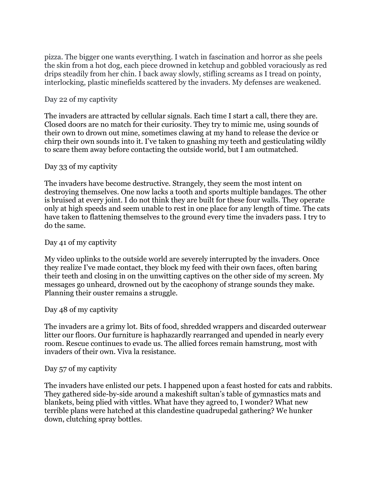pizza. The bigger one wants everything. I watch in fascination and horror as she peels the skin from a hot dog, each piece drowned in ketchup and gobbled voraciously as red drips steadily from her chin. I back away slowly, stifling screams as I tread on pointy, interlocking, plastic minefields scattered by the invaders. My defenses are weakened.

## Day 22 of my captivity

The invaders are attracted by cellular signals. Each time I start a call, there they are. Closed doors are no match for their curiosity. They try to mimic me, using sounds of their own to drown out mine, sometimes clawing at my hand to release the device or chirp their own sounds into it. I've taken to gnashing my teeth and gesticulating wildly to scare them away before contacting the outside world, but I am outmatched.

## Day 33 of my captivity

The invaders have become destructive. Strangely, they seem the most intent on destroying themselves. One now lacks a tooth and sports multiple bandages. The other is bruised at every joint. I do not think they are built for these four walls. They operate only at high speeds and seem unable to rest in one place for any length of time. The cats have taken to flattening themselves to the ground every time the invaders pass. I try to do the same.

## Day 41 of my captivity

My video uplinks to the outside world are severely interrupted by the invaders. Once they realize I've made contact, they block my feed with their own faces, often baring their teeth and closing in on the unwitting captives on the other side of my screen. My messages go unheard, drowned out by the cacophony of strange sounds they make. Planning their ouster remains a struggle.

#### Day 48 of my captivity

The invaders are a grimy lot. Bits of food, shredded wrappers and discarded outerwear litter our floors. Our furniture is haphazardly rearranged and upended in nearly every room. Rescue continues to evade us. The allied forces remain hamstrung, most with invaders of their own. Viva la resistance.

## Day 57 of my captivity

The invaders have enlisted our pets. I happened upon a feast hosted for cats and rabbits. They gathered side-by-side around a makeshift sultan's table of gymnastics mats and blankets, being plied with vittles. What have they agreed to, I wonder? What new terrible plans were hatched at this clandestine quadrupedal gathering? We hunker down, clutching spray bottles.